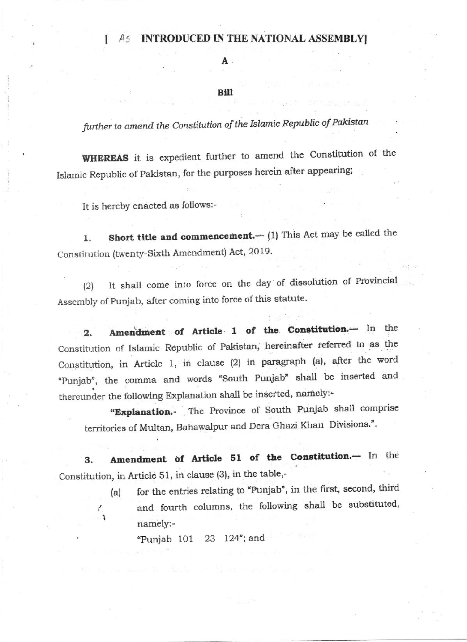#### **INTRODUCED IN THE NATIONAL ASSEMBLY**  $As$

## A

## Bill

further to amend the Constitution of the Islamic Republic of Pakistan

WHEREAS it is expedient further to amend the Constitution of the Islamic Republic of Pakistan, for the purposes herein after appearing;

It is hereby enacted as follows:-

Short title and commencement.- (1) This Act may be called the 1. Constitution (twenty-Sixth Amendment) Act, 2019.

It shall come into force on the day of dissolution of Provincial  $(2)$ Assembly of Punjab, after coming into force of this statute.

Amendment of Article 1 of the Constitution.- In the  $\overline{2}$ . Constitution of Islamic Republic of Pakistan, hereinafter referred to as the Constitution, in Article 1, in clause (2) in paragraph (a), after the word "Punjab", the comma and words "South Punjab" shall be inserted and thereunder the following Explanation shall be inserted, namely:-

"Explanation. The Province of South Punjab shall comprise territories of Multan, Bahawalpur and Dera Ghazi Khan Divisions.".

Amendment of Article 51 of the Constitution.- In the 3. Constitution, in Article 51, in clause (3), in the table,-

for the entries relating to "Punjab", in the first, second, third  $(a)$ and fourth columns, the following shall be substituted, namely:-

23 124"; and "Punjab 101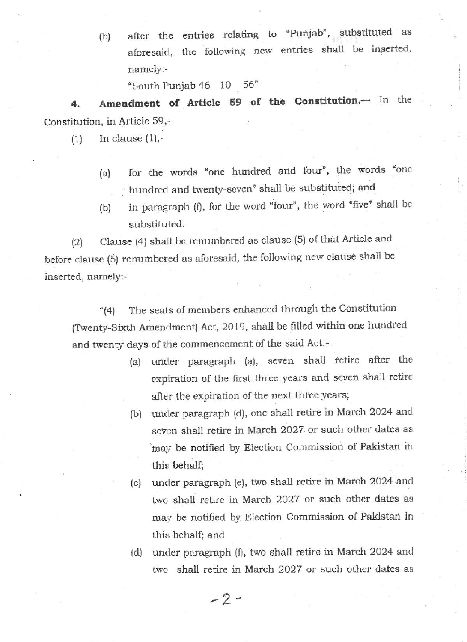(b) after the entries relating to "Punjab", substituted as aforesaid, the following new entries shall be inserted, namely: -

'South Funjab 46 10 56'

4. Amendment of Article 59 of the Constitution.-- In the Constitution, in Article  $59,$ -

 $(1)$  In clause  $(1),-$ 

- (a) for the words "one hundred and four", the words "one hundred and twenty-seven" shall be substituted; and
- (b) in paragraph (f), for the word "four", the word 'five' shall be substituted.

 $\lbrack 2 \rbrack$  Clause (4) shall be renumbered as clause (5) of that Article and before clause (5) renumbered as aforesaid, the following new clause shall be inserted, namely:-

"{41 The seats of members enhanced through the Constitution (Twenty-Sixth Amendment) Act, 2019, shall be filled within one hundred and twenty days of the commencement of the said Act:-

- (a) uniler pamgraph (a), seven shall retire a{ter the expiration of the first three years and seven shell retire after the expiration of the next three years;
- (b) uncler paragraph (d), one shall retire in March 2024 and seven shall retire in March 2027 or such other dates as 'may be notified by Election Commission of Pakistan in this behalf;
- (c) under paragraph (e), two shall retire in March 2024 and two shall retire in March 2027 or such other dates as may be notified by Election Commission of Pakistan in this behalf; and
- (d) under paragraph  $(f)$ , two shall retire in March 2024 and two shall retire in March 2027 or such other dates as

 $-2-$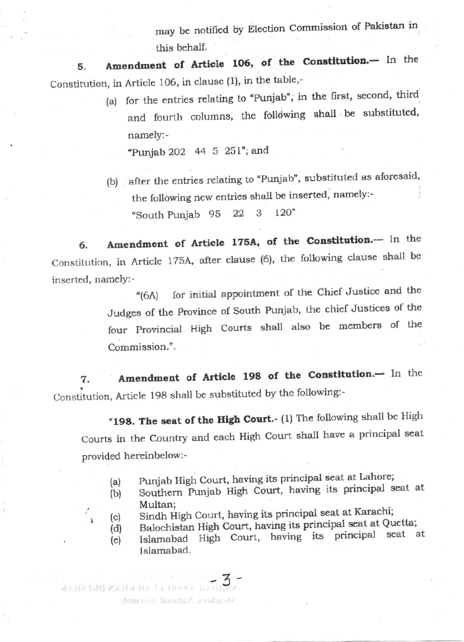may be notified by Election Commission of Pakistan in this behalf.

Amendment of Article 106, of the Constitution.- In the 5. Constitution, in Article 106, in clause (1), in the table,-

(a) for the entries relating to "Punjab", in the first, second, third and fourth columns, the following shall be substituted, namely:-

"Punjab 202 44 5 251"; and

(b) after the entries relating to "Punjab", substituted as aforesaid, the following new entries shall be inserted, namely:- $120"$ "South Punjab 95 22 3

Amendment of Article 175A, of the Constitution.- In the 6. Constitution, in Article 175A, after clause (6), the following clause shall be inserted, namely:-

for initial appointment of the Chief Justice and the  $(6A)$ Judges of the Province of South Punjab, the chief Justices of the four Provincial High Courts shall also be members of the Commission.".

Amendment of Article 198 of the Constitution.- In the 7. Constitution, Article 198 shall be substituted by the following:-

"198. The seat of the High Court. (1) The following shall be High Courts in the Country and each High Court shall have a principal seat provided hereinbelow:-

- Punjab High Court, having its principal seat at Lahore;  $(a)$
- Southern Punjab High Court, having its principal seat at  $(b)$ Multan:
- Sindh High Court, having its principal seat at Karachi;  $(c)$

**RESISTENTIAL AN INFINITION DRESSERV** 

Members, National Assembly

- Balochistan High Court, having its principal seat at Quetta;  $(d)$
- Islamabad High Court, having its principal seat at  $(e)$ Islamabad.